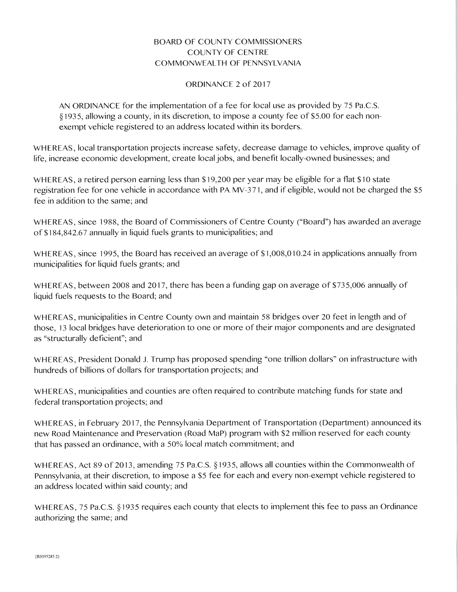## BOARD OF COUNTY COMMISSIONERS COUNTY OF CENTRE COMMONWEALTH OF PENNSYLVANIA

## ORDINANCE 2 of 2017

AN ORDINANCE for the implementation of a fee for local use as provided by *75* Pa.C.S. §1935, allowing a county, in its discretion, to impose a county fee of \$5.00 for each nonexempt vehicle registered to an address located within its borders.

WHEREAS, local transportation projects increase safety, decrease damage to vehicles, improve quality of life, increase economic development, create local jobs, and benefit locally-owned businesses; and

WHEREAS, a retired person earning less than \$19,200 per year may be eligible for a fiat \$10 state registration fee for one vehicle in accordance with PA MV-371, and if eligible, would not be charged the *\$5*  fee in addition to the same; and

WHEREAS, since 1988, the Board of Commissioners of Centre County ("Board") has awarded an average of \$184,842.67 annually in liquid fuels grants to municipalities; and

WHEREAS, since 1995, the Board has received an average of \$1,008,010.24 in applications annually from municipalities for liquid fuels grants; and

WHEREAS, between 2008 and 2017, there has been a funding gap on average of \$735,006 annually of liquid fuels requests to the Board; and

WHEREAS, municipalities in Centre County own and maintain *58* bridges over 20 feet in length and of those, 13 local bridges have deterioration to one or more of their major components and are designated as "structurally deficient"; and

WHEREAS, President Donald J. Trump has proposed spending "one trillion dollars" on infrastructure with hundreds of billions of dollars for transportation projects; and

WHEREAS, municipalities and counties are often required to contribute matching funds for state and federal transportation projects; and

WHEREAS, in February 2017, the Pennsylvania Department of Transportation (Department) announced its new Road Maintenance and Preservation (Road MaP) program with \$2 million reserved for each county that has passed an ordinance, with a *50%* local match commitment; and

WHEREAS, Act 89 of 2013, amending *75* Pa.C.S. §1935, allows all counties within the Commonwealth of Pennsylvania, at their discretion, to impose a *\$5* fee for each and every non-exempt vehicle registered to an address located within said county; and

WHEREAS, *75* Pa.C.S. §1935 requires each county that elects to implement this fee to pass an Ordinance authorizing the same; and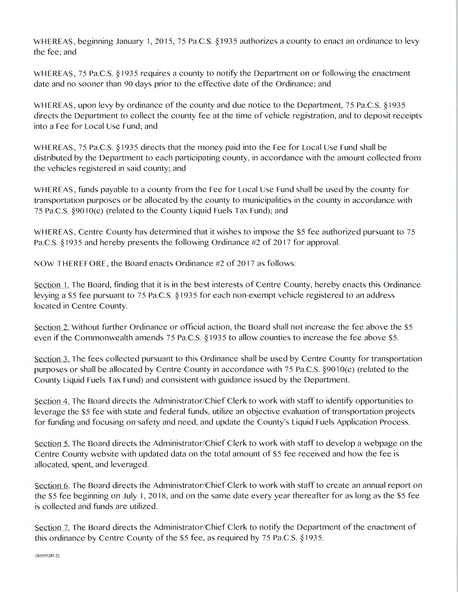WHEREAS, beginning January 1, 2015, 75 Pa.C.S. §1935 authorizes a county to enact an ordinance to levy the fee; and

WHEREAS, *75* Pa.C.S. §1935 requires a county to notify the Department on or following the enactment date and no sooner than 90 days prior to the effective date of the Ordinance; and

WHEREAS, upon levy by ordinance of the county and due notice to the Department, *75* Pa.C.S. §1935 directs the Department to collect the county fee at the time of vehicle registration, and to deposit receipts into a Fee for Local Use Fund; and

WHEREAS, *75* Pa.C.S. §1935 directs that the money paid into the Fee for Local Use Fund shall be distributed by the Department to each participating county, in accordance with the amount collected from the vehicles registered in said county; and

WHEREAS, funds payable to a county from the Fee for Local Use Fund shall be used by the county for transportation purposes or be allocated by the county to municipalities in the county in accordance with *75* Pa.C.S. §9010(c) (related to the County Liquid Fuels Tax Fund); and

WHEREAS, Centre County has determined that it wishes to impose the *\$5* fee authorized pursuant to *75*  Pa.C.S. §1935 and hereby presents the following Ordinance #2 of 2017 for approval.

NOW THEREFORE, the Board enacts Ordinance #2 of 2017 as follows:

Section 1. The Board, finding that it is in the best interests of Centre County, hereby enacts this Ordinance levying a *\$5* fee pursuant to *75* Pa.C.S. §1*93 5* for each non-exempt vehicle registered to an address located in Centre County.

Section 2. Without further Ordinance or official action, the Board shall not increase the fee above the *\$5*  even if the Commonwealth amends *75* Pa.C.S. §1935 to allow counties to increase the fee above *\$5.* 

Section 3. The fees collected pursuant to this Ordinance shall be used by Centre County for transportation purposes or shall be allocated by Centre County in accordance with *75* Pa.C.S. §9010(c) (related to the County Liquid Fuels Tax Fund) and consistent with guidance issued by the Department.

Section 4. The Board directs the Administrator/Chief Clerk to work with staff to identify opportunities to leverage the *\$5* fee with state and federal funds, utilize an objective evaluation of transportation projects for funding and focusing on safety and need, and update the County's Liquid Fuels Application Process.

Section *5.* The Board directs the Administrator/Chief Clerk to work with staff to develop a webpage on the Centre County website with updated data on the total amount of *\$5* fee received and how the fee is allocated, spent, and leveraged.

Section 6. The Board directs the Administrator/Chief Clerk to work with staff to create an annual report on the *\$5* fee beginning on July 1 , 2018, and on the same date every year thereafter for as long as the *\$5* fee is collected and funds are utilized.

Section 7. The Board directs the Administrator/Chief Clerk to notify the Department of the enactment of this ordinance by Centre County of the *\$5* fee, as required by *75* Pa.C.S. § 1935.